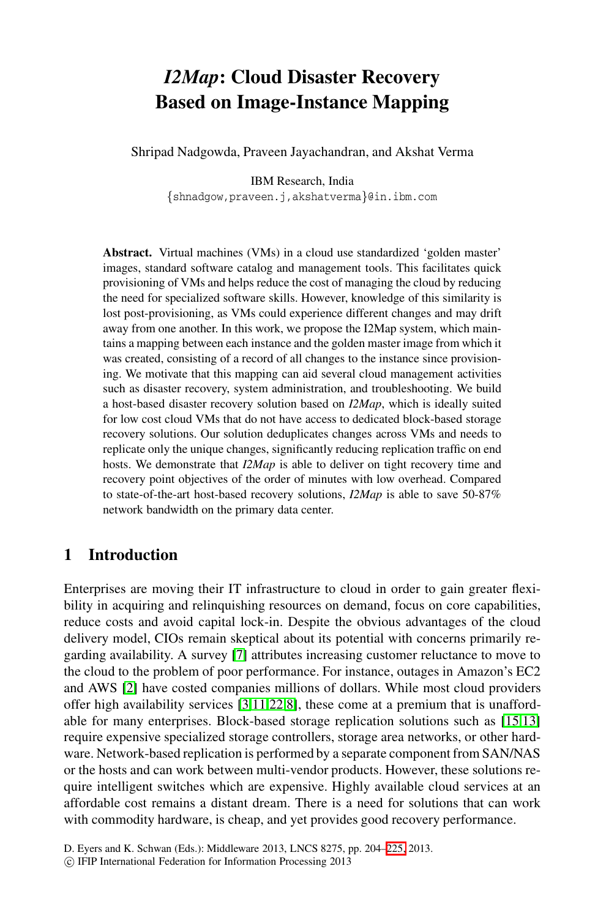# *I2Map***: Cloud Disaster Recovery Based on Image-Instance Mapping**

Shripad Nadgowda, Praveen Jayachandran, and Akshat Verma

IBM Research, India *{*shnadgow,praveen.j,akshatverma*}*@in.ibm.com

**Abstract.** Virtual machines (VMs) in a cloud use standardized 'golden master' images, standard software catalog and management tools. This facilitates quick provisioning of VMs and helps reduce the cost of managing the cloud by reducing the need for specialized software skills. However, knowledge of this similarity is lost post-provisioning, as VMs could experience different changes and may drift away from one another. In this work, we propose the I2Map system, which maintains a mapping between each instance and the golden master image from which it was created, consisting of a record of all changes to the instance since provisioning. We motivate that this mapping can aid several cloud management activities such as disaster recovery, system administration, and troubleshooting. We build a host-based disaster recovery solution based on *I2Map*, which is ideally suited for low cost cloud VMs that do not have access to dedicated block-based storage recovery solutions. Our solution deduplicates changes across VMs and needs to replicate only the unique changes, significantly reducing replication traffic on end hosts. We demonstrate that *I2Map* is able to deliver on tight recovery time and recovery point objectives of the order of minutes with low overhead. Compared to state-of-the-art host-based recovery solutions, *I2Map* is able to save 50-87% network bandwidth on the primary data center.

# **1 Introduction**

Enterprises [ar](#page-21-0)[e](#page-21-1) [m](#page-21-1)[ov](#page-21-2)[ing](#page-21-3) their IT infrastructure to cloud in [orde](#page-21-4)[r to](#page-21-5) gain greater flexibility in acquiring and relinquishing resources on demand, focus on core capabilities, reduce costs and avoid capital lock-in. Despite the obvious advantages of the cloud delivery model, CIOs remain skeptical about its potential with concerns primarily regarding availability. A survey [7] attributes increasing customer reluctance to move to the cloud to the problem of poor performance. For instance, outages in Amazon's EC2 and AWS [2] have costed companies millions of dollars. While most cloud providers offer high availability services [3,11,22,8], these come at a premium that is unaffordable for many enterprises. Block-bas[ed st](#page-21-6)orage replication solutions such as [15,13] require expensive specialized storage controllers, storage area networks, or other hardware. Network-based replication is performed by a separate component from SAN/NAS or the hosts and can work between multi-vendor products. However, these solutions require intelligent switches which are expensive. Highly available cloud services at an affordable cost remains a distant dream. There is a need for solutions that can work with commodity hardware, is cheap, and yet provides good recovery performance.

D. Eyers and K. Schwan (Eds.): Middleware 2013, LNCS 8275, pp. 204–225, 2013.

<sup>-</sup>c IFIP International Federation for Information Processing 2013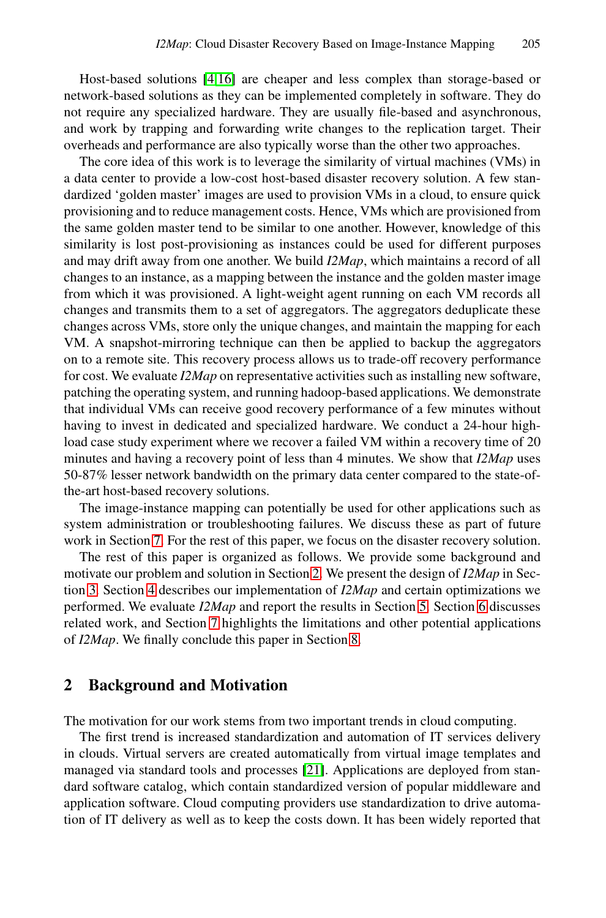Host-based solutions [4,16] are cheaper and less complex than storage-based or network-based solutions as they can be implemented completely in software. They do not require any specialized hardware. They are usually file-based and asynchronous, and work by trapping and forwarding write changes to the replication target. Their overheads and performance are also typically worse than the other two approaches.

The core idea of this work is to leverage the similarity of virtual machines (VMs) in a data center to provide a low-cost host-based disaster recovery solution. A few standardized 'golden master' images are used to provision VMs in a cloud, to ensure quick provisioning and to reduce management costs. Hence, VMs which are provisioned from the same golden master tend to be similar to one another. However, knowledge of this similarity is lost post-provisioning as instances could be used for different purposes and may drift away from one another. We build *I2Map*, which maintains a record of all changes to an instance, as a mapping between the instance and the golden master image from which it was provisioned. A light-weight agent running on each VM records all changes and transmits them to a set of aggregators. The aggregators deduplicate these changes across VMs, store only the unique changes, and maintain the mapping for each VM. A snapshot-mirroring technique can then be applied to backup the aggregators on to a remote site. This recovery process allows us to trade-off recovery performance for cost. We evaluate *I2Map* on representative activities such as installing new software, patching the operating system, and running hadoop-based applications. We demonstrate that individual VMs can receive good recovery performance of a few minutes without having to invest in dedicated and specialized hardware. We conduct a 24-hour highload case study experime[nt](#page-1-0) where we recover a failed VM within a recovery time of 20 minutes and having a recovery point of less than 4 minutes. We show that *I2Map* uses 50-87% lesser network bandwidth on the pri[ma](#page-8-0)ry data [cen](#page-18-0)ter compared to the state-ofthe-art [ho](#page-19-0)st-based recovery solutions.

<span id="page-1-0"></span>The image-instance mapping [ca](#page-20-0)n potentially be used for other applications such as system administration or troubleshooting failures. We discuss these as part of future work in Section 7. For the rest of this paper, we focus on the disaster recovery solution.

The rest of this paper is organized as follows. We provide some background and motivate our problem and solution in Section 2. We present the design of *I2Map* in Section 3. Section 4 describes our implementation of *I2Map* and certain optimizations we performed. We evaluate *I2Map* and report the results in Section 5. Section 6 discusses related work, and Section 7 highlights the limitations and other potential applications of *I2Map*. We finally co[nclu](#page-21-7)de this paper in Section 8.

### **2 Background and Motivation**

The motivation for our work stems from two important trends in cloud computing.

The first trend is increased standardization and automation of IT services delivery in clouds. Virtual servers are created automatically from virtual image templates and managed via standard tools and processes [21]. Applications are deployed from standard software catalog, which contain standardized version of popular middleware and application software. Cloud computing providers use standardization to drive automation of IT delivery as well as to keep the costs down. It has been widely reported that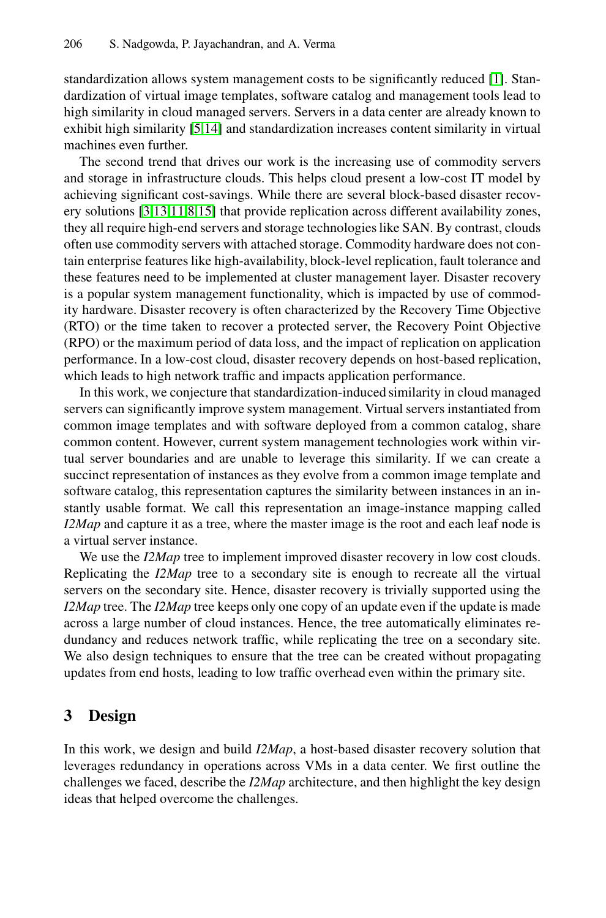[sta](#page-21-1)[n](#page-21-3)[dard](#page-21-4)ization allows system management costs to be significantly reduced [1]. Standardization of virtual image templates, software catalog and management tools lead to high similarity in cloud managed servers. Servers in a data center are already known to exhibit high similarity [5,14] and standardization increases content similarity in virtual machines even further.

The second trend that drives our work is the increasing use of commodity servers and storage in infrastructure clouds. This helps cloud present a low-cost IT model by achieving significant cost-savings. While there are several block-based disaster recovery solutions [3,13,11,8,15] that provide replication across different availability zones, they all require high-end servers and storage technologies like SAN. By contrast, clouds often use commodity servers with attached storage. Commodity hardware does not contain enterprise features like high-availability, block-level replication, fault tolerance and these features need to be implemented at cluster management layer. Disaster recovery is a popular system management functionality, which is impacted by use of commodity hardware. Disaster recovery is often characterized by the Recovery Time Objective (RTO) or the time taken to recover a protected server, the Recovery Point Objective (RPO) or the maximum period of data loss, and the impact of replication on application performance. In a low-cost cloud, disaster recovery depends on host-based replication, which leads to high network traffic and impacts application performance.

In this work, we conjecture that standardization-induced similarity in cloud managed servers can significantly improve system management. Virtual servers instantiated from common image templates and with software deployed from a common catalog, share common content. However, current system management technologies work within virtual server boundaries and are unable to leverage this similarity. If we can create a succinct representation of instances as they evolve from a common image template and software catalog, this representation captures the similarity between instances in an instantly usable format. We call this representation an image-instance mapping called *I2Map* and capture it as a tree, where the master image is the root and each leaf node is a virtual server instance.

We use the *I2Map* tree to implement improved disaster recovery in low cost clouds. Replicating the *I2Map* tree to a secondary site is enough to recreate all the virtual servers on the secondary site. Hence, disaster recovery is trivially supported using the *I2Map* tree. The *I2Map* tree keeps only one copy of an update even if the update is made across a large number of cloud instances. Hence, the tree automatically eliminates redundancy and reduces network traffic, while replicating the tree on a secondary site. We also design techniques to ensure that the tree can be created without propagating updates from end hosts, leading to low traffic overhead even within the primary site.

# **3 Design**

In this work, we design and build *I2Map*, a host-based disaster recovery solution that leverages redundancy in operations across VMs in a data center. We first outline the challenges we faced, describe the *I2Map* architecture, and then highlight the key design ideas that helped overcome the challenges.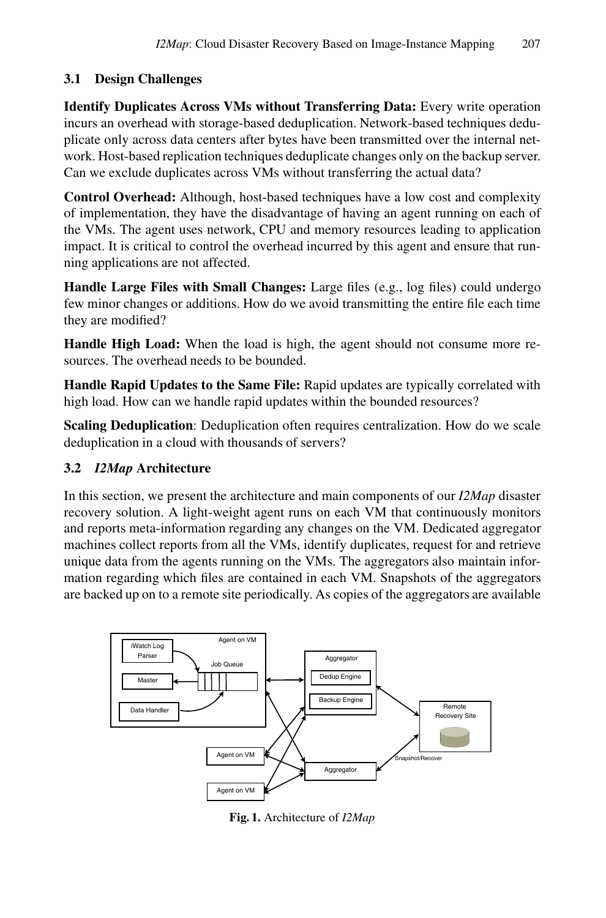# <span id="page-3-0"></span>**3.1 Design Challenges**

**Identify Duplicates Across VMs without Transferring Data:** Every write operation incurs an overhead with storage-based deduplication. Network-based techniques deduplicate only across data centers after bytes have been transmitted over the internal network. Host-based replication techniques deduplicate changes only on the backup server. Can we exclude duplicates across VMs without transferring the actual data?

**Control Overhead:** Although, host-based techniques have a low cost and complexity of implementation, they have the disadvantage of having an agent running on each of the VMs. The agent uses network, CPU and memory resources leading to application impact. It is critical to control the overhead incurred by this agent and ensure that running applications are not affected.

**Handle Large Files with Small Changes:** Large files (e.g., log files) could undergo few minor changes or additions. How do we avoid transmitting the entire file each time they are modified?

**Handle High Load:** When the load is high, the agent should not consume more resources. The overhead needs to be bounded.

**Handle Rapid Updates to the Same File:** Rapid updates are typically correlated with high load. How can we handle rapid updates within the bounded resources?

**Scaling Deduplication**: Deduplication often requires centralization. How do we scale deduplication in a cloud with thousands of servers?

# **3.2** *I2Map* **Architecture**

In this section, we present the architecture and main components of our *I2Map* disaster recovery solution. A light-weight agent runs on each VM that continuously monitors and reports meta-information regarding any changes on the VM. Dedicated aggregator machines collect reports from all the VMs, identify duplicates, request for and retrieve unique data from the agents running on the VMs. The aggregators also maintain information regarding which files are contained in each VM. Snapshots of the aggregators are backed up on to a remote site periodically. As copies of the aggregators are available



**Fig. 1.** Architecture of *I2Map*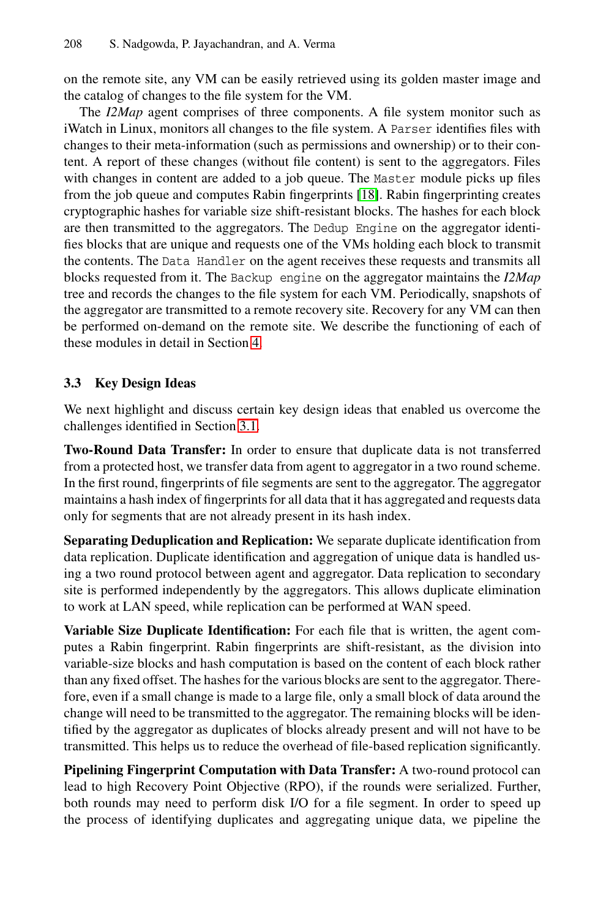on the remote site, any VM can b[e](#page-21-8) [ea](#page-21-8)sily retrieved using its golden master image and the catalog of changes to the file system for the VM.

The *I2Map* agent comprises of three components. A file system monitor such as iWatch in Linux, monitors all changes to the file system. A Parser identifies files with changes to their meta-information (such as permissions and ownership) or to their content. A report of these changes (without file content) is sent to the aggregators. Files with changes in content are added to a job queue. The Master module picks up files from the job queue and computes Rabin fingerprints [18]. Rabin fingerprinting creates cryptographic [ha](#page-5-0)shes for variable size shift-resistant blocks. The hashes for each block are then transmitted to the aggregators. The Dedup Engine on the aggregator identifies blocks that are unique and requests one of the VMs holding each block to transmit the contents. The Data Handler on the agent receives these requests and transmits all blocks requested from it. The Backup engine on the aggregator maintains the *I2Map* tree and rec[ords](#page-3-0) the changes to the file system for each VM. Periodically, snapshots of the aggregator are transmitted to a remote recovery site. Recovery for any VM can then be performed on-demand on the remote site. We describe the functioning of each of these modules in detail in Section 4.

#### **3.3 Key Design Ideas**

We next highlight and discuss certain key design ideas that enabled us overcome the challenges identified in Section 3.1.

**Two-Round Data Transfer:** In order to ensure that duplicate data is not transferred from a protected host, we transfer data from agent to aggregator in a two round scheme. In the first round, fingerprints of file segments are sent to the aggregator. The aggregator maintains a hash index of fingerprints for all data that it has aggregated and requests data only for segments that are not already present in its hash index.

**Separating Deduplication and Replication:** We separate duplicate identification from data replication. Duplicate identification and aggregation of unique data is handled using a two round protocol between agent and aggregator. Data replication to secondary site is performed independently by the aggregators. This allows duplicate elimination to work at LAN speed, while replication can be performed at WAN speed.

**Variable Size Duplicate Identification:** For each file that is written, the agent computes a Rabin fingerprint. Rabin fingerprints are shift-resistant, as the division into variable-size blocks and hash computation is based on the content of each block rather than any fixed offset. The hashes for the various blocks are sent to the aggregator. Therefore, even if a small change is made to a large file, only a small block of data around the change will need to be transmitted to the aggregator. The remaining blocks will be identified by the aggregator as duplicates of blocks already present and will not have to be transmitted. This helps us to reduce the overhead of file-based replication significantly.

**Pipelining Fingerprint Computation with Data Transfer:** A two-round protocol can lead to high Recovery Point Objective (RPO), if the rounds were serialized. Further, both rounds may need to perform disk I/O for a file segment. In order to speed up the process of identifying duplicates and aggregating unique data, we pipeline the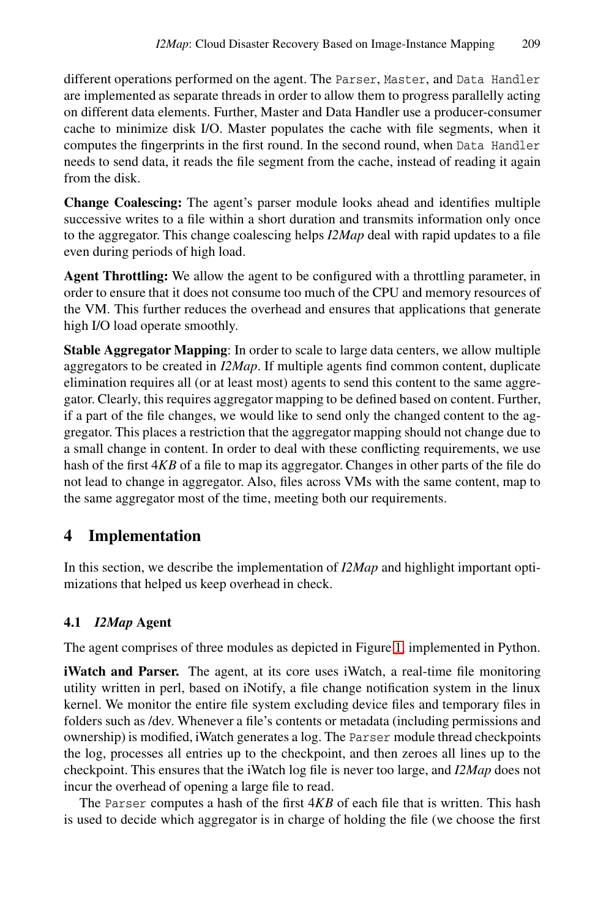different operations performed on the agent. The Parser, Master, and Data Handler are implemented as separate threads in order to allow them to progress parallelly acting on different data elements. Further, Master and Data Handler use a producer-consumer cache to minimize disk I/O. Master populates the cache with file segments, when it computes the fingerprints in the first round. In the second round, when Data Handler needs to send data, it reads the file segment from the cache, instead of reading it again from the disk.

**Change Coalescing:** The agent's parser module looks ahead and identifies multiple successive writes to a file within a short duration and transmits information only once to the aggregator. This change coalescing helps *I2Map* deal with rapid updates to a file even during periods of high load.

<span id="page-5-0"></span>**Agent Throttling:** We allow the agent to be configured with a throttling parameter, in order to ensure that it does not consume too much of the CPU and memory resources of the VM. This further reduces the overhead and ensures that applications that generate high I/O load operate smoothly.

**Stable Aggregator Mapping**: In order to scale to large data centers, we allow multiple aggregators to be created in *I2Map*. If multiple agents find common content, duplicate elimination requires all (or at least most) agents to send this content to the same aggregator. Clearly, this requires aggregator mapping to be defined based on content. Further, if a part of the file changes, we would like to send only the changed content to the aggregator. This places a restriction that the aggregator mapping should not change due to a small change in content. In order to deal with these conflicting requirements, we use hash of the first 4*KB* of a file to map its aggregator. Changes in other parts of the file do not lead to change in aggregator. Also, files across VMs with the same content, map to the same aggregator most of the time, meeting both our requirements.

### **4 Implementation**

In this section, we describe the implementation of *I2Map* and highlight important optimizations that helped us keep overhead in check.

### **4.1** *I2Map* **Agent**

The agent comprises of three modules as depicted in Figure 1, implemented in Python.

**iWatch and Parser.** The agent, at its core uses iWatch, a real-time file monitoring utility written in perl, based on iNotify, a file change notification system in the linux kernel. We monitor the entire file system excluding device files and temporary files in folders such as /dev. Whenever a file's contents or metadata (including permissions and ownership) is modified, iWatch generates a log. The Parser module thread checkpoints the log, processes all entries up to the checkpoint, and then zeroes all lines up to the checkpoint. This ensures that the iWatch log file is never too large, and *I2Map* does not incur the overhead of opening a large file to read.

The Parser computes a hash of the first 4*KB* of each file that is written. This hash is used to decide which aggregator is in charge of holding the file (we choose the first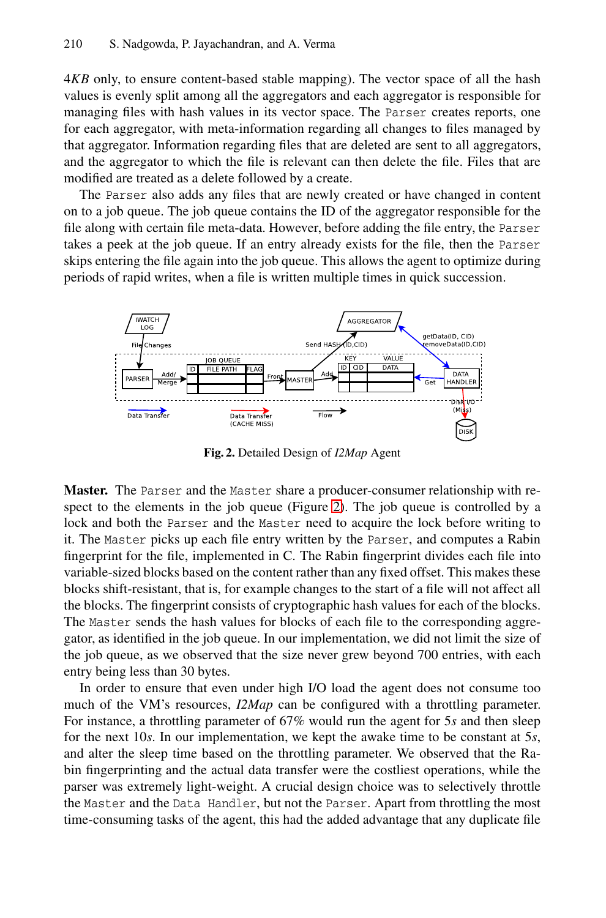4*KB* only, to ensure content-based stable mapping). The vector space of all the hash values is evenly split among all the aggregators and each aggregator is responsible for managing files with hash values in its vector space. The Parser creates reports, one for each aggregator, with meta-information regarding all changes to files managed by that aggregator. Information regarding files that are deleted are sent to all aggregators, and the aggregator to which the file is relevant can then delete the file. Files that are modified are treated as a delete followed by a create.

The Parser also adds any files that are newly created or have changed in content on to a job queue. The job queue contains the ID of the aggregator responsible for the file along with certain file meta-data. However, before adding the file entry, the Parser takes a peek at the job queue. If an entry already exists for the file, then the Parser skips entering the file again into the job queue. This allows the agent to optimize during periods of rapid writes, when a file is written multiple times in quick succession.



<span id="page-6-0"></span>**Fig. 2.** Detailed Design of *I2Map* Agent

**Master.** The Parser and the Master share a producer-consumer relationship with respect to the elements in the job queue (Figure 2). The job queue is controlled by a lock and both the Parser and the Master need to acquire the lock before writing to it. The Master picks up each file entry written by the Parser, and computes a Rabin fingerprint for the file, implemented in C. The Rabin fingerprint divides each file into variable-sized blocks based on the content rather than any fixed offset. This makes these blocks shift-resistant, that is, for example changes to the start of a file will not affect all the blocks. The fingerprint consists of cryptographic hash values for each of the blocks. The Master sends the hash values for blocks of each file to the corresponding aggregator, as identified in the job queue. In our implementation, we did not limit the size of the job queue, as we observed that the size never grew beyond 700 entries, with each entry being less than 30 bytes.

In order to ensure that even under high I/O load the agent does not consume too much of the VM's resources, *I2Map* can be configured with a throttling parameter. For instance, a throttling parameter of 67% would run the agent for 5*s* and then sleep for the next 10*s*. In our implementation, we kept the awake time to be constant at 5*s*, and alter the sleep time based on the throttling parameter. We observed that the Rabin fingerprinting and the actual data transfer were the costliest operations, while the parser was extremely light-weight. A crucial design choice was to selectively throttle the Master and the Data Handler, but not the Parser. Apart from throttling the most time-consuming tasks of the agent, this had the added advantage that any duplicate file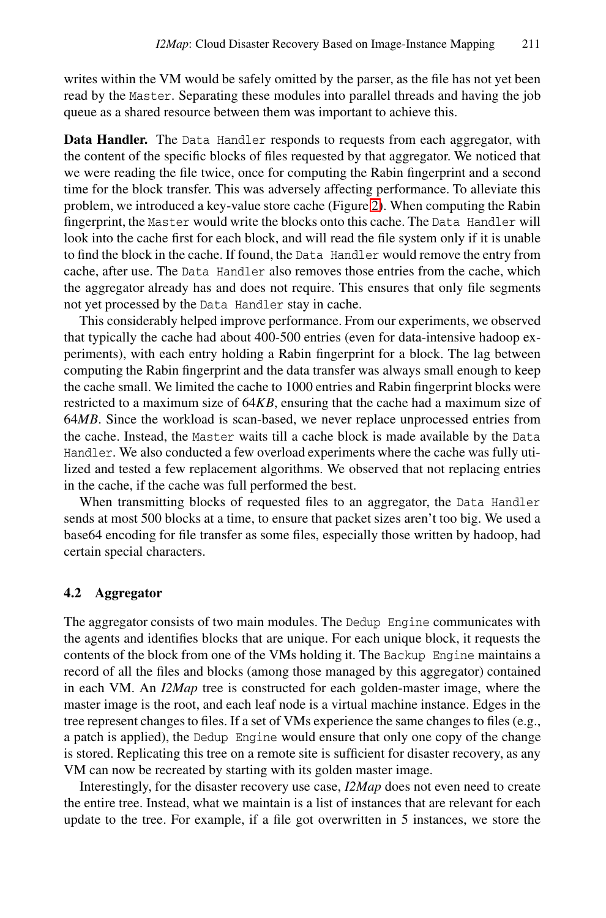writes within the VM would be safe[ly](#page-6-0) omitted by the parser, as the file has not yet been read by the Master. Separating these modules into parallel threads and having the job queue as a shared resource between them was important to achieve this.

**Data Handler.** The Data Handler responds to requests from each aggregator, with the content of the specific blocks of files requested by that aggregator. We noticed that we were reading the file twice, once for computing the Rabin fingerprint and a second time for the block transfer. This was adversely affecting performance. To alleviate this problem, we introduced a key-value store cache (Figure 2). When computing the Rabin fingerprint, the Master would write the blocks onto this cache. The Data Handler will look into the cache first for each block, and will read the file system only if it is unable to find the block in the cache. If found, the Data Handler would remove the entry from cache, after use. The Data Handler also removes those entries from the cache, which the aggregator already has and does not require. This ensures that only file segments not yet processed by the Data Handler stay in cache.

This considerably helped improve performance. From our experiments, we observed that typically the cache had about 400-500 entries (even for data-intensive hadoop experiments), with each entry holding a Rabin fingerprint for a block. The lag between computing the Rabin fingerprint and the data transfer was always small enough to keep the cache small. We limited the cache to 1000 entries and Rabin fingerprint blocks were restricted to a maximum size of 64*KB*, ensuring that the cache had a maximum size of 64*MB*. Since the workload is scan-based, we never replace unprocessed entries from the cache. Instead, the Master waits till a cache block is made available by the Data Handler. We also conducted a few overload experiments where the cache was fully utilized and tested a few replacement algorithms. We observed that not replacing entries in the cache, if the cache was full performed the best.

When transmitting blocks of requested files to an aggregator, the Data Handler sends at most 500 blocks at a time, to ensure that packet sizes aren't too big. We used a base64 encoding for file transfer as some files, especially those written by hadoop, had certain special characters.

### **4.2 Aggregator**

The aggregator consists of two main modules. The Dedup Engine communicates with the agents and identifies blocks that are unique. For each unique block, it requests the contents of the block from one of the VMs holding it. The Backup Engine maintains a record of all the files and blocks (among those managed by this aggregator) contained in each VM. An *I2Map* tree is constructed for each golden-master image, where the master image is the root, and each leaf node is a virtual machine instance. Edges in the tree represent changes to files. If a set of VMs experience the same changes to files (e.g., a patch is applied), the Dedup Engine would ensure that only one copy of the change is stored. Replicating this tree on a remote site is sufficient for disaster recovery, as any VM can now be recreated by starting with its golden master image.

Interestingly, for the disaster recovery use case, *I2Map* does not even need to create the entire tree. Instead, what we maintain is a list of instances that are relevant for each update to the tree. For example, if a file got overwritten in 5 instances, we store the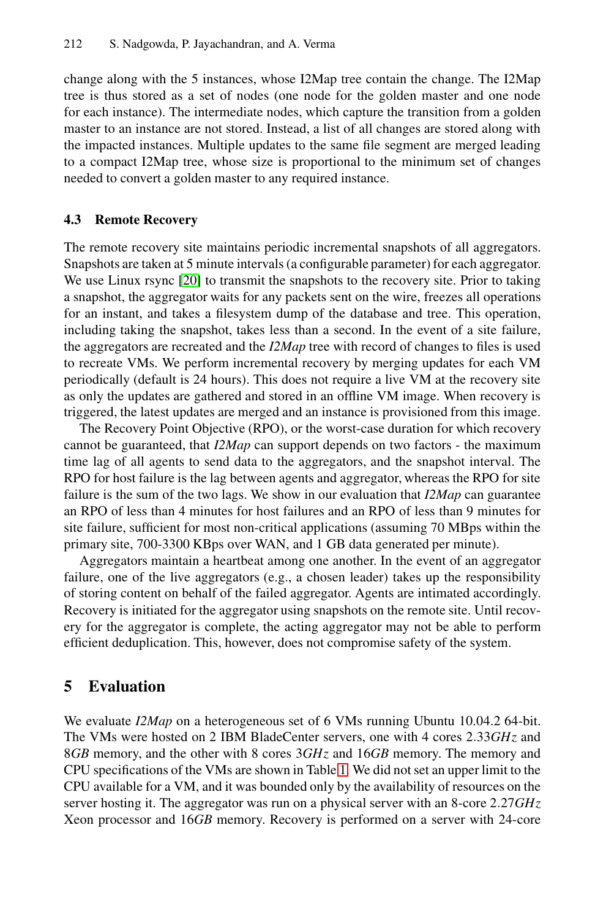change along with the 5 instances, whose I2Map tree contain the change. The I2Map tree is thus stored as a set of nodes (one node for the golden master and one node for each instance). The intermediate nodes, which capture the transition from a golden master to an instance are not stored. Instead, a list of all changes are stored along with the impacted instances. Multiple updates to the same file segment are merged leading t[o](#page-21-9) [a](#page-21-9) [c](#page-21-9)ompact I2Map tree, whose size is proportional to the minimum set of changes needed to convert a golden master to any required instance.

#### **4.3 Remote Recovery**

The remote recovery site maintains periodic incremental snapshots of all aggregators. Snapshots are taken at 5 minute intervals (a configurable parameter) for each aggregator. We use Linux rsync [20] to transmit the snapshots to the recovery site. Prior to taking a snapshot, the aggregator waits for any packets sent on the wire, freezes all operations for an instant, and takes a filesystem dump of the database and tree. This operation, including taking the snapshot, takes less than a second. In the event of a site failure, the aggregators are recreated and the *I2Map* tree with record of changes to files is used to recreate VMs. We perform incremental recovery by merging updates for each VM periodically (default is 24 hours). This does not require a live VM at the recovery site as only the updates are gathered and stored in an offline VM image. When recovery is triggered, the latest updates are merged and an instance is provisioned from this image.

<span id="page-8-0"></span>The Recovery Point Objective (RPO), or the worst-case duration for which recovery cannot be guaranteed, that *I2Map* can support depends on two factors - the maximum time lag of all agents to send data to the aggregators, and the snapshot interval. The RPO for host failure is the lag between agents and aggregator, whereas the RPO for site failure is the sum of the two lags. We show in our evaluation that *I2Map* can guarantee an RPO of less than 4 minutes for host failures and an RPO of less than 9 minutes for site failure, sufficient for most non-critical applications (assuming 70 MBps within the primary site, 700-3300 KBps over WAN, and 1 GB data generated per minute).

Aggregators maintain a heartbeat among one another. In the event of an aggregator failure, one of the live aggregators (e.g., a chosen leader) takes up the responsibility of storing content on behalf of the failed aggregator. Agents are intimated accordingly. Recovery is initiated for the aggregator using snapshots on the remote site. Until recovery for the aggregator is complete, the acting aggregator may not be able to perform efficient deduplication. This, [how](#page-9-0)ever, does not compromise safety of the system.

# **5 Evaluation**

We evaluate *I2Map* on a heterogeneous set of 6 VMs running Ubuntu 10.04.2 64-bit. The VMs were hosted on 2 IBM BladeCenter servers, one with 4 cores 2*.*33*GHz* and 8*GB* memory, and the other with 8 cores 3*GHz* and 16*GB* memory. The memory and CPU specifications of the VMs are shown in Table 1. We did not set an upper limit to the CPU available for a VM, and it was bounded only by the availability of resources on the server hosting it. The aggregator was run on a physical server with an 8-core 2*.*27*GHz* Xeon processor and 16*GB* memory. Recovery is performed on a server with 24-core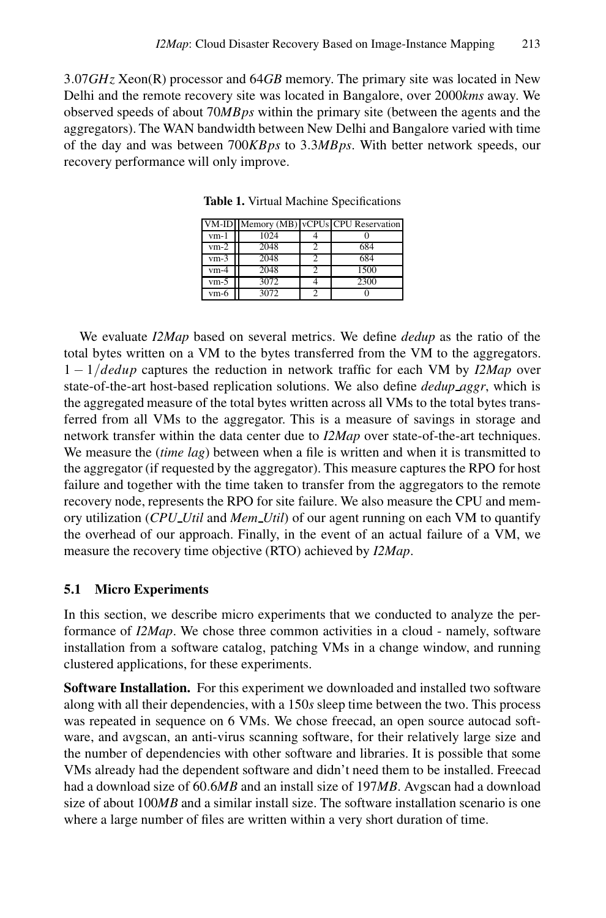<span id="page-9-0"></span>3*.*07*GHz* Xeon(R) processor and 64*GB* memory. The primary site was located in New Delhi and the remote recovery site was located in Bangalore, over 2000*kms* away. We observed speeds of about 70*MBps* within the primary site (between the agents and the aggregators). The WAN bandwidth between New Delhi and Bangalore varied with time of the day and was between 700*KBps* to 3*.*3*MBps*. With better network speeds, our recovery performance will only improve.

|        |      |                | VM-ID   Memory (MB)   vCPUs   CPU Reservation |
|--------|------|----------------|-----------------------------------------------|
| $vm-1$ | 1024 |                |                                               |
| $vm-2$ | 2048 |                | 684                                           |
| $vm-3$ | 2048 | $\mathfrak{D}$ | 684                                           |
| $vm-4$ | 2048 | າ              | 1500                                          |
| vm-5   | 3072 |                | 2300                                          |
| vm-6   | 3072 |                |                                               |

**Table 1.** Virtual Machine Specifications

We evaluate *I2Map* based on several metrics. We define *dedup* as the ratio of the total bytes written on a VM to the bytes transferred from the VM to the aggregators. 1 − 1*/dedup* captures the reduction in network traffic for each VM by *I2Map* over state-of-the-art host-based replication solutions. We also define *dedup aggr*, which is the aggregated measure of the total bytes written across all VMs to the total bytes transferred from all VMs to the aggregator. This is a measure of savings in storage and network transfer within the data center due to *I2Map* over state-of-the-art techniques. We measure the (*time lag*) between when a file is written and when it is transmitted to the aggregator (if requested by the aggregator). This measure captures the RPO for host failure and together with the time taken to transfer from the aggregators to the remote recovery node, represents the RPO for site failure. We also measure the CPU and memory utilization (*CPU Util* and *Mem Util*) of our agent running on each VM to quantify the overhead of our approach. Finally, in the event of an actual failure of a VM, we measure the recovery time objective (RTO) achieved by *I2Map*.

### **5.1 Micro Experiments**

In this section, we describe micro experiments that we conducted to analyze the performance of *I2Map*. We chose three common activities in a cloud - namely, software installation from a software catalog, patching VMs in a change window, and running clustered applications, for these experiments.

**Software Installation.** For this experiment we downloaded and installed two software along with all their dependencies, with a 150*s* sleep time between the two. This process was repeated in sequence on 6 VMs. We chose freecad, an open source autocad software, and avgscan, an anti-virus scanning software, for their relatively large size and the number of dependencies with other software and libraries. It is possible that some VMs already had the dependent software and didn't need them to be installed. Freecad had a download size of 60*.*6*MB* and an install size of 197*MB*. Avgscan had a download size of about 100*MB* and a similar install size. The software installation scenario is one where a large number of files are written within a very short duration of time.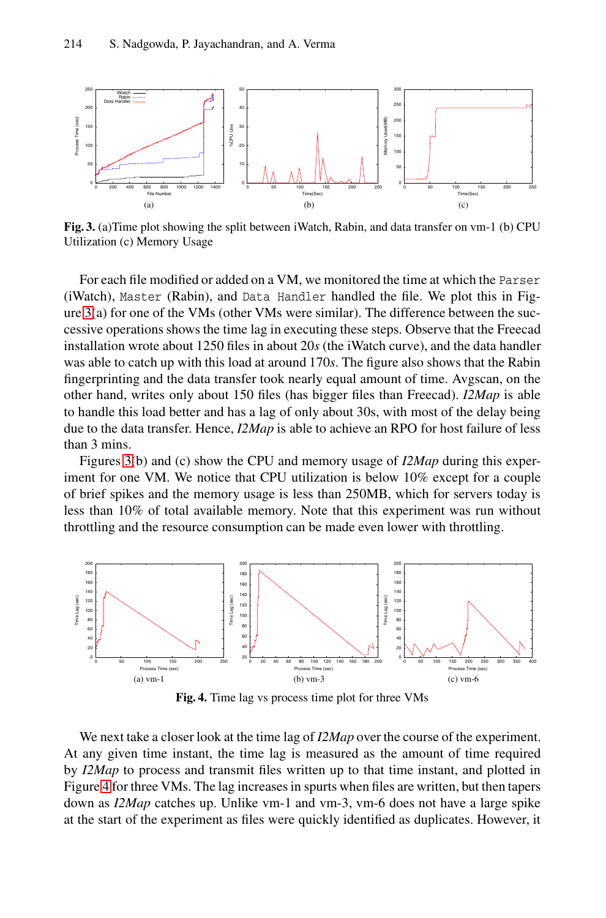

**Fig. 3.** (a)Time plot showing the split between iWatch, Rabin, and data transfer on vm-1 (b) CPU Utilization (c) Memory Usage

For each file modified or added on a VM, we monitored the time at which the Parser (iWatch), Master (Rabin), and Data Handler handled the file. We plot this in Figure 3(a) for one of the VMs (other VMs were similar). The difference between the successive operations shows the time lag in executing these steps. Observe that the Freecad installation wrote about 1250 files in about 20*s* (the iWatch curve), and the data handler was able to catch up with this load at around 170*s*. The figure also shows that the Rabin fingerprinting and the data transfer took nearly equal amount of time. Avgscan, on the other hand, writes only about 150 files (has bigger files than Freecad). *I2Map* is able to handle this load better and has a lag of only about 30s, with most of the delay being due to the data transfer. Hence, *I2Map* is able to achieve an RPO for host failure of less than 3 mins.

Figures 3(b) and (c) show the CPU and memory usage of *I2Map* during this experiment for one VM. We notice that CPU utilization is below 10% except for a couple of brief spikes and the memory usage is less than 250MB, which for servers today is less than 10% of total available memory. Note that this experiment was run without throttling and the resource consumption can be made even lower with throttling.



**Fig. 4.** Time lag vs process time plot for three VMs

We next take a closer look at the time lag of *I2Map* over the course of the experiment. At any given time instant, the time lag is measured as the amount of time required by *I2Map* to process and transmit files written up to that time instant, and plotted in Figure 4 for three VMs. The lag increases in spurts when files are written, but then tapers down as *I2Map* catches up. Unlike vm-1 and vm-3, vm-6 does not have a large spike at the start of the experiment as files were quickly identified as duplicates. However, it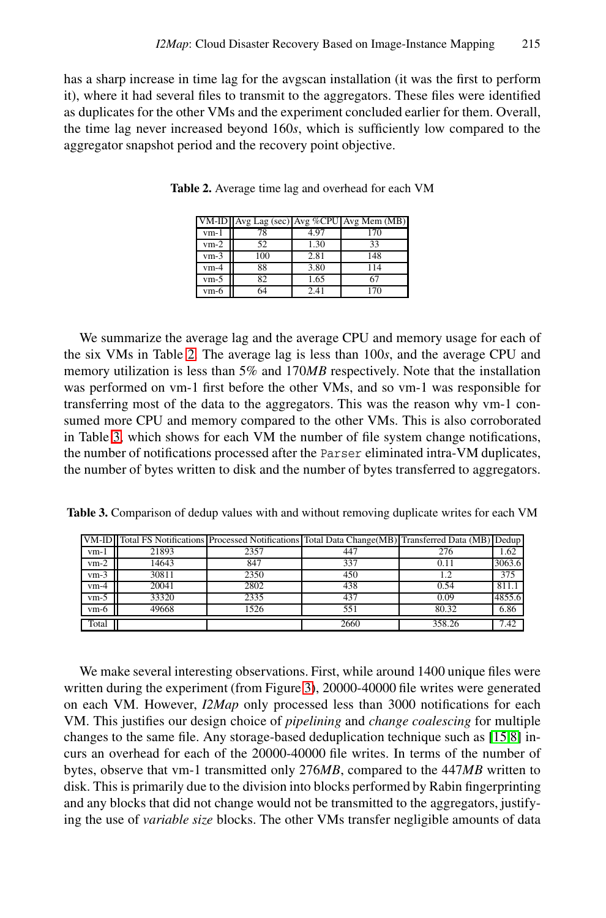has a sharp increase in time lag for the avgscan installation (it was the first to perform it), where it had several files to transmit to the aggregators. These files were identified as duplicates for the other VMs and the experiment concluded earlier for them. Overall, the time lag never increased beyond 160*s*, which is sufficiently low compared to the aggregator snapshot period and the recovery point objective.

|        |     |      | VM-ID Avg Lag (sec) Avg %CPU Avg Mem (MB) |
|--------|-----|------|-------------------------------------------|
| $vm-1$ | 78  | 4.97 |                                           |
| $vm-2$ | 52  | 1.30 | 33                                        |
| $vm-3$ | 100 | 2.81 | 148                                       |
| $vm-4$ | 88  | 3.80 | 114                                       |
| $vm-5$ | 82  | 1.65 | 67                                        |
| vm-6   |     | 2.41 | 170                                       |

**Table 2.** Average time lag and overhead for each VM

We summarize the average lag and the average CPU and memory usage for each of the six VMs in Table 2. The average lag is less than 100*s*, and the average CPU and memory utilization is less than 5% and 170*MB* respectively. Note that the installation was performed on vm-1 first before the other VMs, and so vm-1 was responsible for transferring most of the data to the aggregators. This was the reason why vm-1 consumed more CPU and memory compared to the other VMs. This is also corroborated in Table 3, which shows for each VM the number of file system change notifications, the number of notifications processed after the Parser eliminated intra-VM duplicates, the number of bytes written to disk and the number of bytes transferred to aggregators.

|        |       |      | VM-ID  Total FS Notifications Processed Notifications Total Data Change(MB) Transferred Data (MB) Dedup |        |        |
|--------|-------|------|---------------------------------------------------------------------------------------------------------|--------|--------|
| vm-1   | 21893 | 2357 | 447                                                                                                     | 276    | 1.62   |
| $vm-2$ | 14643 | 847  | 337                                                                                                     | 0.11   | 3063.6 |
| $vm-3$ | 30811 | 2350 | 450                                                                                                     |        | 375    |
| $vm-4$ | 20041 | 2802 | 438                                                                                                     | 0.54   | 811.1  |
| $vm-5$ | 33320 | 2335 | 437                                                                                                     | 0.09   | 4855.6 |
| vm-6   | 49668 | 526  | 551                                                                                                     | 80.32  | 6.86   |
| Total  |       |      | 2660                                                                                                    | 358.26 | 7.42   |

**Table 3.** Comparison of dedup values with and without removing duplicate writes for each VM

We make several interesting observations. First, while around 1400 unique files were written during the experiment (from Figure 3), 20000-40000 file writes were generated on each VM. However, *I2Map* only processed less than 3000 notifications for each VM. This justifies our design choice of *pipelining* and *change coalescing* for multiple changes to the same file. Any storage-based deduplication technique such as [15,8] incurs an overhead for each of the 20000-40000 file writes. In terms of the number of bytes, observe that vm-1 transmitted only 276*MB*, compared to the 447*MB* written to disk. This is primarily due to the division into blocks performed by Rabin fingerprinting and any blocks that did not change would not be transmitted to the aggregators, justifying the use of *variable size* blocks. The other VMs transfer negligible amounts of data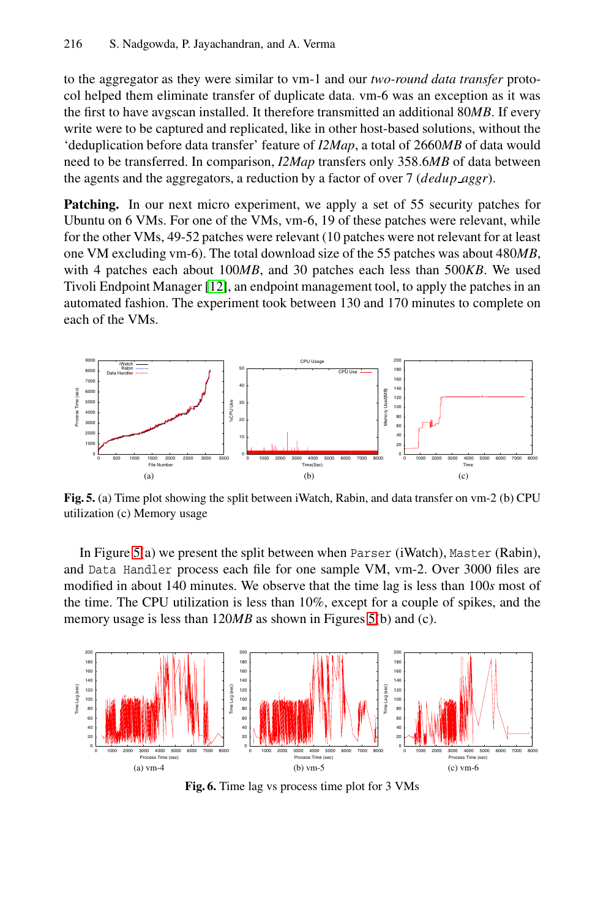to the aggregator as they were similar to vm-1 and our *two-round data transfer* protocol helped them eliminate transfer of duplicate data. vm-6 was an exception as it was the first to have avgscan installed. It therefore transmitted an additional 80*MB*. If every write were to be captured and replicated, like in other host-based solutions, without the 'deduplication before data transfer' feature of *I2Map*, a total of 2660*MB* of data would need t[o be](#page-21-10) transferred. In comparison, *I2Map* transfers only 358*.*6*MB* of data between the agents and the aggregators, a reduction by a factor of over 7 (*dedup aggr*).

<span id="page-12-0"></span>**Patching.** In our next micro experiment, we apply a set of 55 security patches for Ubuntu on 6 VMs. For one of the VMs, vm-6, 19 of these patches were relevant, while for the other VMs, 49-52 patches were relevant (10 patches were not relevant for at least one VM excluding vm-6). The total download size of the 55 patches was about 480*MB*, with 4 patches each about 100*MB*, and 30 patches each less than 500*KB*. We used Tivoli Endpoint Manager [12], an endpoint management tool, to apply the patches in an automated fashion. The experiment took between 130 and 170 minutes to complete on each of the VMs.



**Fig. 5.** (a) Time plot showing the split b[etw](#page-12-0)een iWatch, Rabin, and data transfer on vm-2 (b) CPU utilization (c) Memory usage

<span id="page-12-1"></span>In Figure  $5(a)$  we present the split between when Parser (iWatch), Master (Rabin), and Data Handler process each file for one sample VM, vm-2. Over 3000 files are modified in about 140 minutes. We observe that the time lag is less than 100*s* most of the time. The CPU utilization is less than 10%, except for a couple of spikes, and the memory usage is less than  $120MB$  as shown in Figures 5(b) and (c).



**Fig. 6.** Time lag vs process time plot for 3 VMs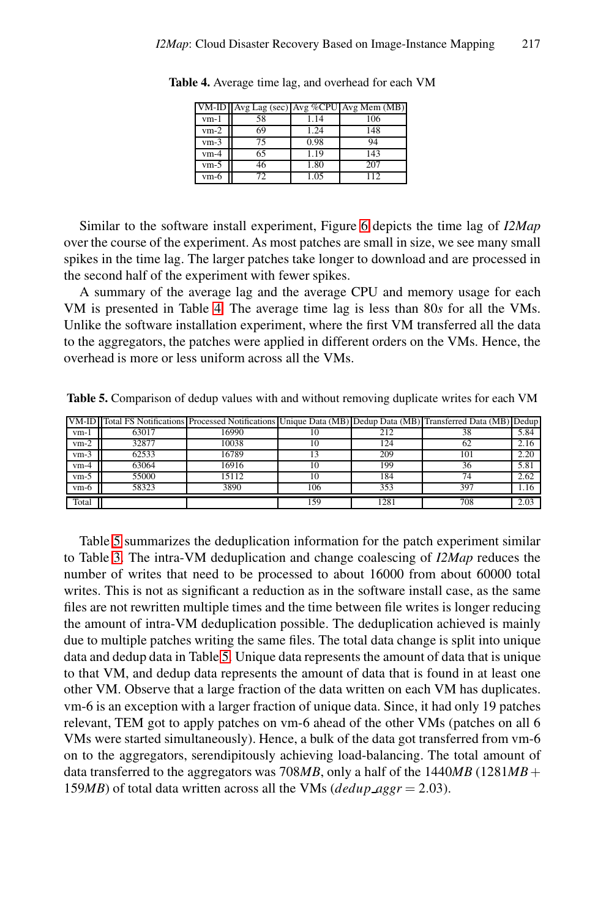|        |    |                 | VM-ID Avg Lag (sec) Avg %CPU Avg Mem (MB) |
|--------|----|-----------------|-------------------------------------------|
| $vm-1$ | 58 | 1.14            | 106                                       |
| $vm-2$ | 69 | 1.24            | 148                                       |
| $vm-3$ | 75 | 0.98            | 94                                        |
| $vm-4$ | 65 | 1.19            | 143                                       |
| $vm-5$ | 46 | 1.80            | 207                                       |
| $vm-6$ | 77 | 10 <sup>s</sup> | 112                                       |

**Table 4.** Average time lag, and overhead for each VM

<span id="page-13-0"></span>Similar to the software install experiment, Figure 6 depicts the time lag of *I2Map* over the course of the experiment. As most patches are small in size, we see many small spikes in the time lag. The larger patches take longer to download and are processed in the second half of the experiment with fewer spikes.

A summary of the average lag and the average CPU and memory usage for each VM is presented in Table 4. The average time lag is less than 80*s* for all the VMs. Unlike the software installation experiment, where the first VM transferred all the data to the aggregators, the patches were applied in different orders on the VMs. Hence, the overhead is more or less uniform across all the VMs.

**Table 5.** Comparison of dedup values with and without removing duplicate writes for each VM

|        |       | VM-ID   Total FS Notifications Processed Notifications Unique Data (MB)   Dedup Data (MB)   Transferred Data (MB)   Dedup |     |      |     |      |
|--------|-------|---------------------------------------------------------------------------------------------------------------------------|-----|------|-----|------|
| $vm-1$ | 63017 | 16990                                                                                                                     |     | 212  |     | 5.84 |
| $vm-2$ | 32877 | 10038                                                                                                                     |     | 124  |     | 2.16 |
| $vm-3$ | 62533 | 16789                                                                                                                     |     | 209  | 101 | 2.20 |
| $vm-4$ | 63064 | 16916                                                                                                                     |     | 199  |     | 5.81 |
| vm-5   | 55000 | 15112                                                                                                                     |     | 184  | 74  | 2.62 |
| $vm-6$ | 58323 | 3890                                                                                                                      | 106 | 353  | 397 | 1.16 |
| Total  |       |                                                                                                                           | .59 | 1281 | 708 | 2.03 |

Table [5](#page-13-0) summarizes the deduplication information for the patch experiment similar to Table 3. The intra-VM deduplication and change coalescing of *I2Map* reduces the number of writes that need to be processed to about 16000 from about 60000 total writes. This is not as significant a reduction as in the software install case, as the same files are not rewritten multiple times and the time between file writes is longer reducing the amount of intra-VM deduplication possible. The deduplication achieved is mainly due to multiple patches writing the same files. The total data change is split into unique data and dedup data in Table 5. Unique data represents the amount of data that is unique to that VM, and dedup data represents the amount of data that is found in at least one other VM. Observe that a large fraction of the data written on each VM has duplicates. vm-6 is an exception with a larger fraction of unique data. Since, it had only 19 patches relevant, TEM got to apply patches on vm-6 ahead of the other VMs (patches on all 6 VMs were started simultaneously). Hence, a bulk of the data got transferred from vm-6 on to the aggregators, serendipitously achieving load-balancing. The total amount of data transferred to the aggregators was 708*MB*, only a half of the 1440*MB* (1281*MB*+ 159*MB*) of total data written across all the VMs ( $dedup\text{-}aggr = 2.03$ ).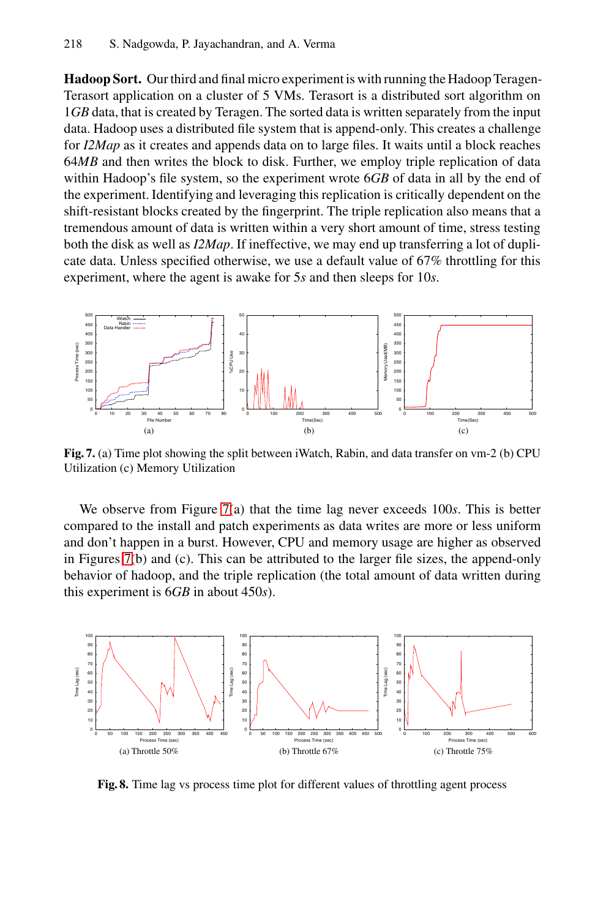**Hadoop Sort.** Our third and final micro experiment is with running the Hadoop Teragen-Terasort application on a cluster of 5 VMs. Terasort is a distributed sort algorithm on 1*GB* data, that is created by Teragen. The sorted data is written separately from the input data. Hadoop uses a distributed file system that is append-only. This creates a challenge for *I2Map* as it creates and appends data on to large files. It waits until a block reaches 64*MB* and then writes the block to disk. Further, we employ triple replication of data within Hadoop's file system, so the experiment wrote 6*GB* of data in all by the end of the experiment. Identifying and leveraging this replication is critically dependent on the shift-resistant blocks created by the fingerprint. The triple replication also means that a tremendous amount of data is written within a very short amount of time, stress testing both the disk as well as *I2Map*. If ineffective, we may end up transferring a lot of duplicate data. Unless specified otherwise, we use a default value of 67% throttling for this experiment, where the agent is awake for 5*s* and then sleeps for 10*s*.



**Fig. 7.** (a) Time plot showing the split between iWatch, Rabin, and data transfer on vm-2 (b) CPU Utilization (c) Memory Utilization

We observe from Figure 7(a) that the time lag never exceeds 100*s*. This is better compared to the install and patch experiments as data writes are more or less uniform and don't happen in a burst. However, CPU and memory usage are higher as observed in Figures 7(b) and (c). This can be attributed to the larger file sizes, the append-only behavior of hadoop, and the triple replication (the total amount of data written during this experiment is 6*GB* in about 450*s*).



**Fig. 8.** Time lag vs process time plot for different values of throttling agent process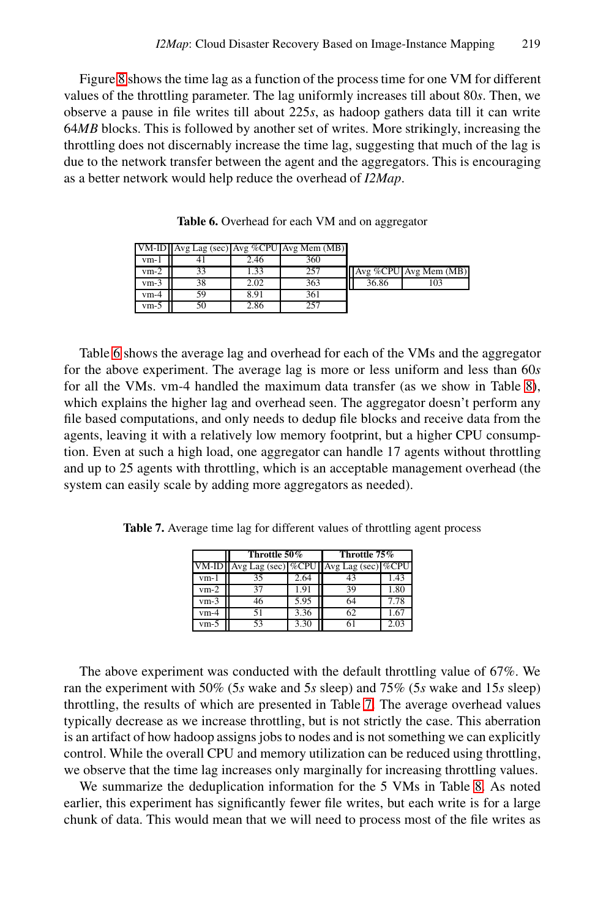Figure 8 shows the time lag as a function of the process time for one VM for different values of the throttling parameter. The lag uniformly increases till about 80*s*. Then, we observe a pause in file writes till about 225*s*, as hadoop gathers data till it can write 64*MB* blocks. This is followed by another set of writes. More strikingly, increasing the throttling does not discernably increase the time lag, suggesting that much of the lag is due to the network transfer between the agent and the aggregators. This is encouraging as a better network would help reduce the overhead of *I2Map*.

**Table 6.** Overhead for each VM and on aggregator

|        |    |      | VM-ID Avg Lag (sec) Avg %CPU Avg Mem (MB) |       |                       |
|--------|----|------|-------------------------------------------|-------|-----------------------|
| vm-1   |    | 2.46 | 360                                       |       |                       |
| $vm-2$ | 33 | 1.33 | 257                                       |       | Avg %CPU Avg Mem (MB) |
| $vm-3$ | 38 | 2.02 | 363                                       | 36.86 | 103                   |
| $vm-4$ | 59 | 8.91 | 361                                       |       |                       |
| $vm-5$ | 50 | 2.86 | 257                                       |       |                       |

<span id="page-15-0"></span>Table 6 shows the average lag and overhead for each of the VMs and the aggregator for the above experiment. The average lag is more or less uniform and less than 60*s* for all the VMs. vm-4 handled the maximum data transfer (as we show in Table 8), which explains the higher lag and overhead seen. The aggregator doesn't perform any file based computations, and only needs to dedup file blocks and receive data from the agents, leaving it with a relatively low memory footprint, but a higher CPU consumption. Even at such a high load, one aggregator can handle 17 agents without throttling and up to 25 agents with throttling, which is an acceptable management overhead (the system can easily scale by adding more aggregators as needed).

**Table 7.** Average time lag for different values of throttling agent process

|        | Throttle 50%                                      |      | Throttle 75% |      |
|--------|---------------------------------------------------|------|--------------|------|
|        | VM-ID Avg Lag (sec)   %CPU   Avg Lag (sec)   %CPU |      |              |      |
| $vm-1$ | 35                                                | 2.64 | 43           | 1.43 |
| $vm-2$ | 37                                                | 1.91 | 39           | 1.80 |
| $vm-3$ | 46                                                | 5.95 | 64           | 7.78 |
| $vm-4$ | 51                                                | 3.36 | 62           | 1.67 |
| $vm-5$ | 53                                                | 3.30 |              | 2.03 |

The above experiment was conducted with the defa[ul](#page-16-0)t throttling value of 67%. We ran the experiment with 50% (5*s* wake and 5*s* sleep) and 75% (5*s* wake and 15*s* sleep) throttling, the results of which are presented in Table 7. The average overhead values typically decrease as we increase throttling, but is not strictly the case. This aberration is an artifact of how hadoop assigns jobs to nodes and is not something we can explicitly control. While the overall CPU and memory utilization can be reduced using throttling, we observe that the time lag increases only marginally for increasing throttling values.

We summarize the deduplication information for the 5 VMs in Table 8. As noted earlier, this experiment has significantly fewer file writes, but each write is for a large chunk of data. This would mean that we will need to process most of the file writes as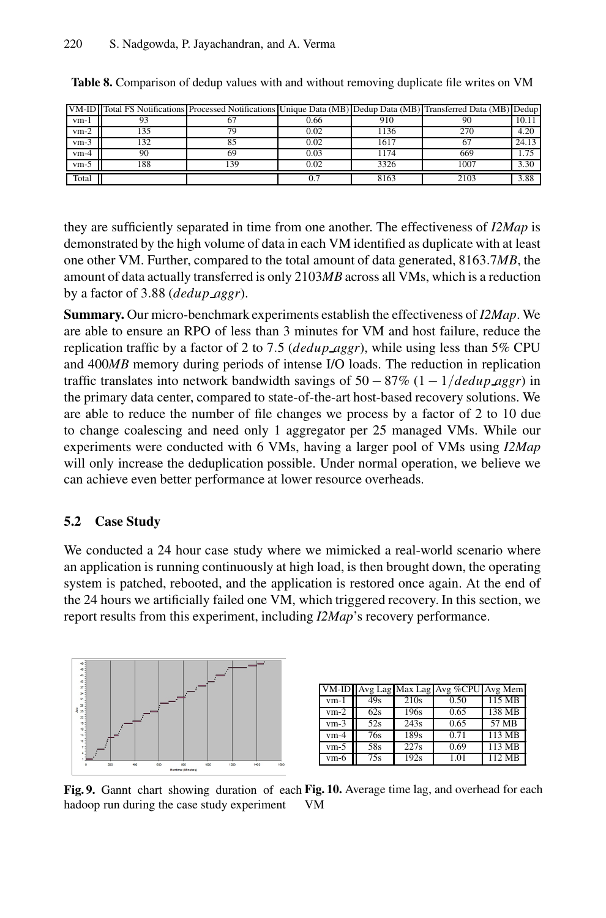|       |     | VM-ID Total FS Notifications Processed Notifications Unique Data (MB) Dedup Data (MB) Transferred Data (MB) Dedup |      |      |      |       |
|-------|-----|-------------------------------------------------------------------------------------------------------------------|------|------|------|-------|
| vm-1  |     |                                                                                                                   | 0.66 | 910  | 90   | 10.11 |
| vm-2  |     | 70                                                                                                                | 0.02 | 1136 | 270  | 4.20  |
| vm-3  |     |                                                                                                                   | 0.02 | 1617 |      | 24.13 |
| vm-4  | 90  | 69                                                                                                                | 0.03 | 1174 | 669  | 1.75  |
| vm-5  | 188 | . 39                                                                                                              | 0.02 | 3326 | 1007 | 3.30  |
| Total |     |                                                                                                                   |      | 8163 | 2103 | 3.88  |

<span id="page-16-0"></span>**Table 8.** Comparison of dedup values with and without removing duplicate file writes on VM

they are sufficiently separated in time from one another. The effectiveness of *I2Map* is demonstrated by the high volume of data in each VM identified as duplicate with at least one other VM. Further, compared to the total amount of data generated, 8163*.*7*MB*, the amount of data actually transferred is only 2103*MB* across all VMs, which is a reduction by a factor of 3*.*88 (*dedup aggr*).

**Summary.** Our micro-benchmark experiments establish the effectiveness of *I2Map*. We are able to ensure an RPO of less than 3 minutes for VM and host failure, reduce the replication traffic by a factor of 2 to 7*.*5 (*dedup aggr*), while using less than 5% CPU and 400*MB* memory during periods of intense I/O loads. The reduction in replication traffic translates into network bandwidth savings of  $50 - 87\%$  (1 – 1*/dedup\_aggr*) in the primary data center, compared to state-of-the-art host-based recovery solutions. We are able to reduce the number of file changes we process by a factor of 2 to 10 due to change coalescing and need only 1 aggregator per 25 managed VMs. While our experiments were conducted with 6 VMs, having a larger pool of VMs using *I2Map* will only increase the deduplication possible. Under normal operation, we believe we can achieve even better performance at lower resource overheads.

### **5.2 Case Study**

We conducted a 24 hour case study where we mimicked a real-world scenario where an application is running continuously at high load, is then brought down, the operating system is patched, rebooted, and the application is restored once again. At the end of the 24 hours we artificially failed one VM, which triggered recovery. In this section, we report results from this experiment, including *I2Map*'s recovery performance.



|        |     |      | VM-ID Avg Lag Max Lag Avg %CPU Avg Mem |                  |
|--------|-----|------|----------------------------------------|------------------|
| $vm-1$ | 49s | 210s | 0.50                                   | 115MB            |
| $vm-2$ | 62s | 196s | 0.65                                   | $138$ MB         |
| $vm-3$ | 52s | 243s | 0.65                                   | 57 MB            |
| $vm-4$ | 76s | 189s | 0.71                                   | $113 \text{ MB}$ |
| $vm-5$ | 58s | 227s | 0.69                                   | 113 MB           |
| vm-6   | 75s | 192s | 1.01                                   | 112 MB           |

**Fig. 9.** Gannt chart showing duration of each **Fig. 10.** Average time lag, and overhead for each hadoop run during the case study experiment VM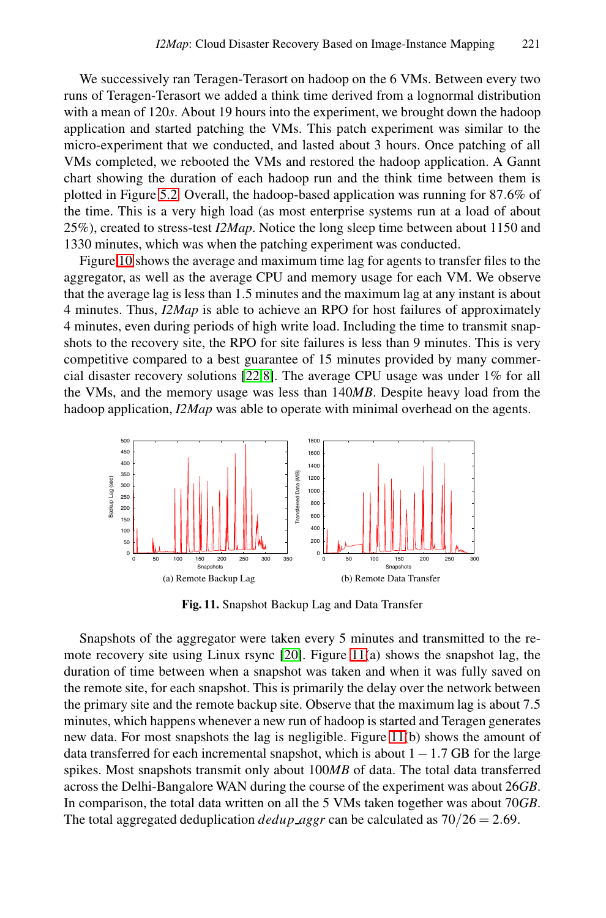We successively ran Teragen-Terasort on hadoop on the 6 VMs. Between every two runs of Teragen-Terasort we added a think time derived from a lognormal distribution with a mean of 120*s*. About 19 hours into the experiment, we brought down the hadoop application and started patching the VMs. This patch experiment was similar to the micro-experiment that we conducted, and lasted about 3 hours. Once patching of all VMs completed, we rebooted the VMs and restored the hadoop application. A Gannt chart showing the duration of each hadoop run and the think time between them is plotted in Figure 5.2. Overall, the hadoop-based application was running for 87*.*6% of the time. This is a very high load (as most enterprise systems run at a load of about 25%), created to stress-test *I2Map*. Notice the long sleep time between about 1150 and 1330 minute[s, w](#page-21-2)[hi](#page-21-3)ch was when the patching experiment was conducted.

Figure 10 shows the average and maximum time lag for agents to transfer files to the aggregator, as well as the average CPU and memory usage for each VM. We observe that the average lag is less than 1*.*5 minutes and the maximum lag at any instant is about 4 minutes. Thus, *I2Map* is able to achieve an RPO for host failures of approximately 4 minutes, even during periods of high write load. Including the time to transmit snapshots to the recovery site, the RPO for site failures is less than 9 minutes. This is very competitive compared to a best guarantee of 15 minutes provided by many commercial disaster recovery solutions [22,8]. The average CPU usage was under 1% for all the VMs, and the memory usage was less than 140*MB*. Despite heavy load from the hadoop application, *I2Map* was able to operate with minimal overhead on the agents.

<span id="page-17-0"></span>

**Fig. 11.** Snapshot B[acku](#page-17-0)p Lag and Data Transfer

Snapshots of the aggregator were taken every 5 minutes and transmitted to the remote recovery site using Linux rsync [20]. Figure 11(a) shows the snapshot lag, the duration of time between when a snapshot was taken and when it was fully saved on the remote site, for each snapshot. This is primarily the delay over the network between the primary site and the remote backup site. Observe that the maximum lag is about 7*.*5 minutes, which happens whenever a new run of hadoop is started and Teragen generates new data. For most snapshots the lag is negligible. Figure 11(b) shows the amount of data transferred for each incremental snapshot, which is about 1−1*.*7 GB for the large spikes. Most snapshots transmit only about 100*MB* of data. The total data transferred across the Delhi-Bangalore WAN during the course of the experiment was about 26*GB*. In comparison, the total data written on all the 5 VMs taken together was about 70*GB*. The total aggregated deduplication *dedup aggr* can be calculated as 70*/*26 = 2*.*69.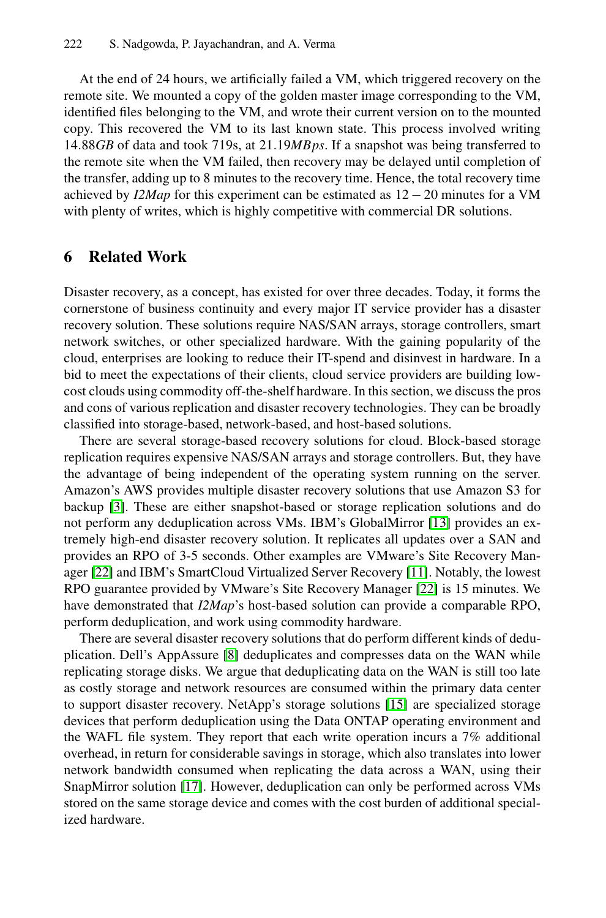<span id="page-18-0"></span>At the end of 24 hours, we artificially failed a VM, which triggered recovery on the remote site. We mounted a copy of the golden master image corresponding to the VM, identified files belonging to the VM, and wrote their current version on to the mounted copy. This recovered the VM to its last known state. This process involved writing 14*.*88*GB* of data and took 719s, at 21*.*19*MBps*. If a snapshot was being transferred to the remote site when the VM failed, then recovery may be delayed until completion of the transfer, adding up to 8 minutes to the recovery time. Hence, the total recovery time achieved by *I2Map* for this experiment can be estimated as 12 − 20 minutes for a VM with plenty of writes, which is highly competitive with commercial DR solutions.

# **6 Related Work**

Disaster recovery, as a concept, has existed for over three decades. Today, it forms the cornerstone of business continuity and every major IT service provider has a disaster recovery solution. These solutions require NAS/SAN arrays, storage controllers, smart network switches, or other specialized hardware. With the gaining popularity of the cloud, enterprises are looking to reduce their IT-spend and disinvest in hardware. In a bid to meet the expectations of their clients, cloud service providers are building lowcost clouds using commodity off-the-shelf hard[war](#page-21-5)e. In this section, we discuss the pros and cons of various replication and disaster recovery technologies. They can be broadly classified into storage-based, network-based, and host-based solutions.

There are several storage-based recove[ry s](#page-21-1)olutions for cloud. Block-based storage replication requires expensive NAS/SAN arr[ays](#page-21-2) and storage controllers. But, they have the advantage of being independent of the operating system running on the server. Amazon's AWS provides multiple disaster recovery solutions that use Amazon S3 for backup [3]. These are either snapshot-based or storage replication solutions and do not perfo[rm](#page-21-3) any deduplication across VMs. IBM's GlobalMirror [13] provides an extremely high-end disaster recovery solution. It replicates all updates over a SAN and provides an RPO of 3-5 seconds. Other examples are VMware's Site Recovery Manager [22] and IBM's SmartCloud Virtu[alize](#page-21-4)d Server Recovery [11]. Notably, the lowest RPO guarantee provided by VMware's Site Recovery Manager [22] is 15 minutes. We have demonstrated that *I2Map*'s host-based solution can provide a comparable RPO, perform deduplication, and work using commodity hardware.

There are several disaster recovery solutions that do perform different kinds of dedupl[icat](#page-21-11)ion. Dell's AppAssure [8] deduplicates and compresses data on the WAN while replicating storage disks. We argue that deduplicating data on the WAN is still too late as costly storage and network resources are consumed within the primary data center to support disaster recovery. NetApp's storage solutions [15] are specialized storage devices that perform deduplication using the Data ONTAP operating environment and the WAFL file system. They report that each write operation incurs a 7% additional overhead, in return for considerable savings in storage, which also translates into lower network bandwidth consumed when replicating the data across a WAN, using their SnapMirror solution [17]. However, deduplication can only be performed across VMs stored on the same storage device and comes with the cost burden of additional specialized hardware.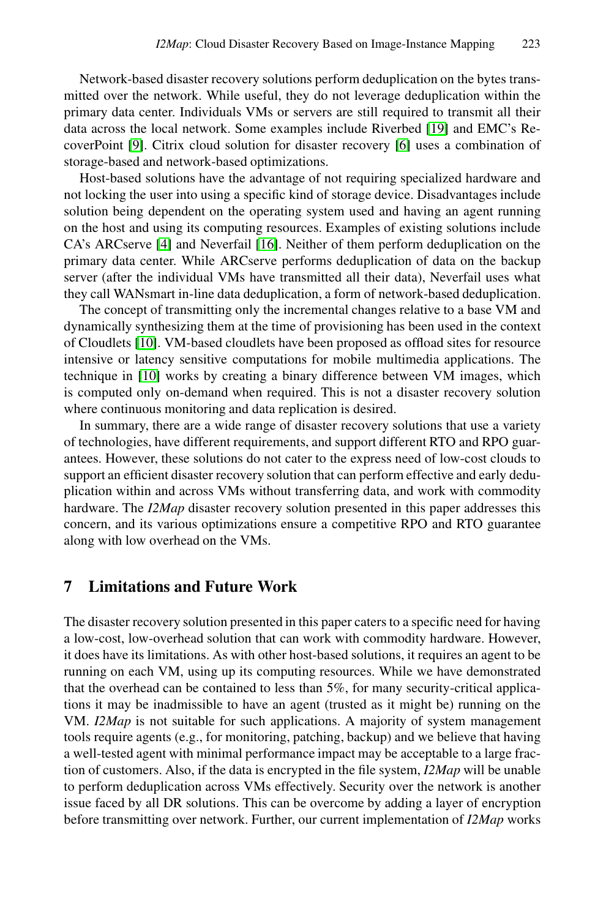Network-based disaster recovery solutions perform deduplication on the bytes transmitted over the network. While useful, they do not leverage deduplication within the primary data ce[nter](#page-21-12). Individuals VMs or servers are still required to transmit all their data across the local network. Some examples include Riverbed [19] and EMC's RecoverPoint [9]. Citrix cloud solution for disaster recovery [6] uses a combination of storage-based and network-based optimizations.

Host-based solutions have the advantage of not requiring specialized hardware and not locking the user into using a specific kind of storage device. Disadvantages include solution being dependent on the operating system used and having an agent running on the host and using its computing resources. Examples of existing solutions include CA's ARCserve [4] and Neverfail [16]. Neither of them perform deduplication on the primary data center. While ARCserve performs deduplication of data on the backup server (after the individual VMs have transmitted all their data), Neverfail uses what they call WANsmart in-line data deduplication, a form of network-based deduplication.

<span id="page-19-0"></span>The concept of transmitting only the incremental changes relative to a base VM and dynamically synthesizing them at the time of provisioning has been used in the context of Cloudlets [10]. VM-based cloudlets have been proposed as offload sites for resource intensive or latency sensitive computations for mobile multimedia applications. The technique in [10] works by creating a binary difference between VM images, which is computed only on-demand when required. This is not a disaster recovery solution where continuous monitoring and data replication is desired.

In summary, there are a wide range of disaster recovery solutions that use a variety of technologies, have different requirements, and support different RTO and RPO guarantees. However, these solutions do not cater to the express need of low-cost clouds to support an efficient disaster recovery solution that can perform effective and early deduplication within and across VMs without transferring data, and work with commodity hardware. The *I2Map* disaster recovery solution presented in this paper addresses this concern, and its various optimizations ensure a competitive RPO and RTO guarantee along with low overhead on the VMs.

### **7 Limitations and Future Work**

The disaster recovery solution presented in this paper caters to a specific need for having a low-cost, low-overhead solution that can work with commodity hardware. However, it does have its limitations. As with other host-based solutions, it requires an agent to be running on each VM, using up its computing resources. While we have demonstrated that the overhead can be contained to less than 5%, for many security-critical applications it may be inadmissible to have an agent (trusted as it might be) running on the VM. *I2Map* is not suitable for such applications. A majority of system management tools require agents (e.g., for monitoring, patching, backup) and we believe that having a well-tested agent with minimal performance impact may be acceptable to a large fraction of customers. Also, if the data is encrypted in the file system, *I2Map* will be unable to perform deduplication across VMs effectively. Security over the network is another issue faced by all DR solutions. This can be overcome by adding a layer of encryption before transmitting over network. Further, our current implementation of *I2Map* works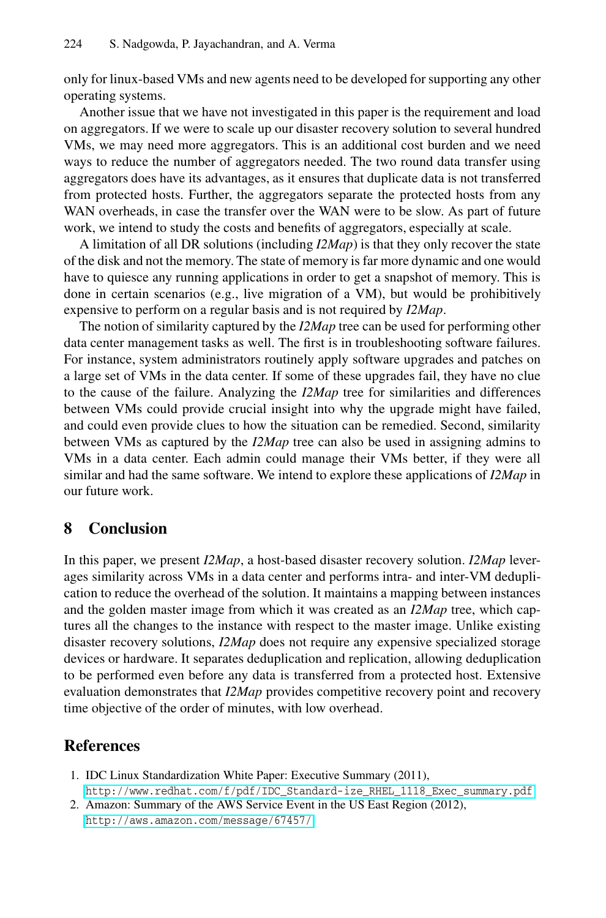only for linux-based VMs and new agents need to be developed for supporting any other operating systems.

Another issue that we have not investigated in this paper is the requirement and load on aggregators. If we were to scale up our disaster recovery solution to several hundred VMs, we may need more aggregators. This is an additional cost burden and we need ways to reduce the number of aggregators needed. The two round data transfer using aggregators does have its advantages, as it ensures that duplicate data is not transferred from protected hosts. Further, the aggregators separate the protected hosts from any WAN overheads, in case the transfer over the WAN were to be slow. As part of future work, we intend to study the costs and benefits of aggregators, especially at scale.

<span id="page-20-0"></span>A limitation of all DR solutions (including *I2Map*) is that they only recover the state of the disk and not the memory. The state of memory is far more dynamic and one would have to quiesce any running applications in order to get a snapshot of memory. This is done in certain scenarios (e.g., live migration of a VM), but would be prohibitively expensive to perform on a regular basis and is not required by *I2Map*.

The notion of similarity captured by the *I2Map* tree can be used for performing other data center management tasks as well. The first is in troubleshooting software failures. For instance, system administrators routinely apply software upgrades and patches on a large set of VMs in the data center. If some of these upgrades fail, they have no clue to the cause of the failure. Analyzing the *I2Map* tree for similarities and differences between VMs could provide crucial insight into why the upgrade might have failed, and could even provide clues to how the situation can be remedied. Second, similarity between VMs as captured by the *I2Map* tree can also be used in assigning admins to VMs in a data center. Each admin could manage their VMs better, if they were all similar and had the same software. We intend to explore these applications of *I2Map* in our future work.

# **8 Conclusion**

In this paper, we present *I2Map*, a host-based disaster recovery solution. *I2Map* leverages similarity across VMs in a data center and performs intra- and inter-VM deduplication to reduce the overhead of the solution. It maintains a mapping between instances and the golden master image from which it was created as an *I2Map* tree, which captures all the changes to the instance with respect to the master image. Unlike existing disaster recovery solutions, *I2Map* does not require any expensive specialized storage [devices or hardware. It separates deduplication and replication, all](http://www.redhat.com/f/pdf/IDC_Standard-ize_RHEL_1118_Exec_summary.pdf)owing deduplication to be performed even before any data is transferred from a protected host. Extensive [evaluation demonstrates th](http://aws.amazon.com/message/67457/)at *I2Map* provides competitive recovery point and recovery time objective of the order of minutes, with low overhead.

### **References**

- 1. IDC Linux Standardization White Paper: Executive Summary (2011), http://www.redhat.com/f/pdf/IDC\_Standard-ize\_RHEL\_1118\_Exec\_summary.pdf
- 2. Amazon: Summary of the AWS Service Event in the US East Region (2012), http://aws.amazon.com/message/67457/